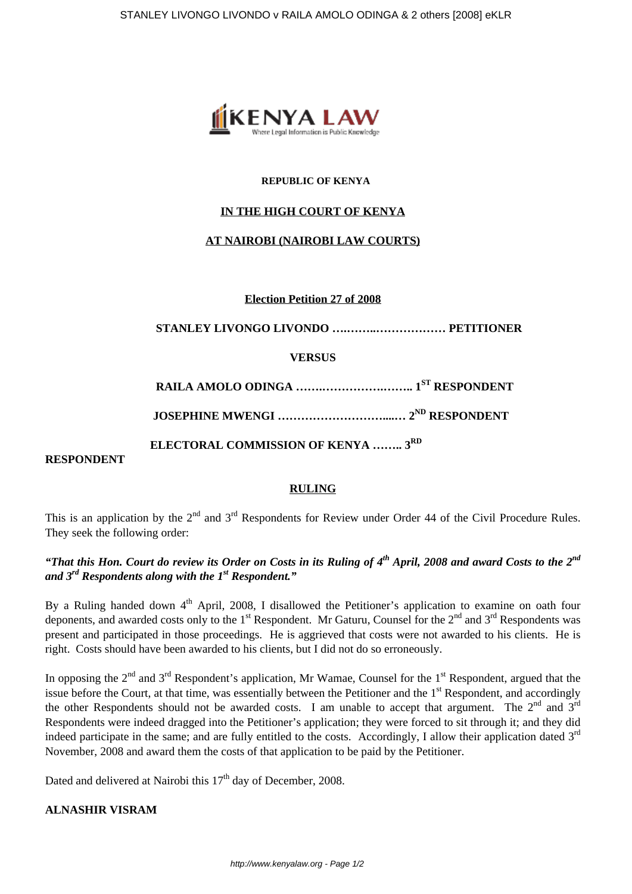

#### **REPUBLIC OF KENYA**

## **IN THE HIGH COURT OF KENYA**

## **AT NAIROBI (NAIROBI LAW COURTS)**

**Election Petition 27 of 2008**

 **STANLEY LIVONGO LIVONDO ….……..……………… PETITIONER**

#### **VERSUS**

 **RAILA AMOLO ODINGA …….…………….…….. 1ST RESPONDENT**

**JOSEPHINE MWENGI ………………………....… 2ND RESPONDENT**

 **ELECTORAL COMMISSION OF KENYA …….. 3RD**

## **RESPONDENT**

#### **RULING**

This is an application by the  $2^{nd}$  and  $3^{rd}$  Respondents for Review under Order 44 of the Civil Procedure Rules. They seek the following order:

# *"That this Hon. Court do review its Order on Costs in its Ruling of 4th April, 2008 and award Costs to the 2nd and 3rd Respondents along with the 1st Respondent."*

By a Ruling handed down 4<sup>th</sup> April, 2008, I disallowed the Petitioner's application to examine on oath four deponents, and awarded costs only to the  $1<sup>st</sup>$  Respondent. Mr Gaturu, Counsel for the  $2<sup>nd</sup>$  and  $3<sup>rd</sup>$  Respondents was present and participated in those proceedings. He is aggrieved that costs were not awarded to his clients. He is right. Costs should have been awarded to his clients, but I did not do so erroneously.

In opposing the  $2<sup>nd</sup>$  and  $3<sup>rd</sup>$  Respondent's application, Mr Wamae, Counsel for the  $1<sup>st</sup>$  Respondent, argued that the issue before the Court, at that time, was essentially between the Petitioner and the 1<sup>st</sup> Respondent, and accordingly the other Respondents should not be awarded costs. I am unable to accept that argument. The  $2<sup>nd</sup>$  and  $3<sup>rd</sup>$ Respondents were indeed dragged into the Petitioner's application; they were forced to sit through it; and they did indeed participate in the same; and are fully entitled to the costs. Accordingly, I allow their application dated  $3<sup>rd</sup>$ November, 2008 and award them the costs of that application to be paid by the Petitioner.

Dated and delivered at Nairobi this 17<sup>th</sup> day of December, 2008.

# **ALNASHIR VISRAM**